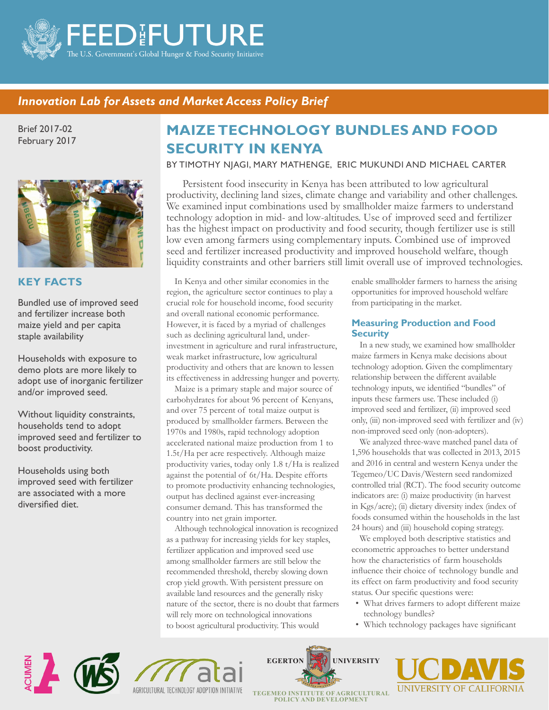

## *Innovation Lab for Assets and Market Access Policy Brief Innovation Lab for Assets and Market Access Policy Brief* BASIS 17-0002

Brief 2017-02 February 2017



### **KEY FACTS**

Bundled use of improved seed and fertilizer increase both maize yield and per capita staple availability

Households with exposure to demo plots are more likely to adopt use of inorganic fertilizer and/or improved seed.

Without liquidity constraints, households tend to adopt improved seed and fertilizer to boost productivity.

Households using both improved seed with fertilizer are associated with a more diversified diet.

# **MAIZE TECHNOLOGY BUNDLES AND FOOD SECURITY IN KENYA**

BY TIMOTHY NJAGI, MARY MATHENGE, ERIC MUKUNDI AND MICHAEL CARTER

Persistent food insecurity in Kenya has been attributed to low agricultural productivity, declining land sizes, climate change and variability and other challenges. We examined input combinations used by smallholder maize farmers to understand technology adoption in mid- and low-altitudes. Use of improved seed and fertilizer has the highest impact on productivity and food security, though fertilizer use is still low even among farmers using complementary inputs. Combined use of improved seed and fertilizer increased productivity and improved household welfare, though liquidity constraints and other barriers still limit overall use of improved technologies.

In Kenya and other similar economies in the region, the agriculture sector continues to play a crucial role for household income, food security and overall national economic performance. However, it is faced by a myriad of challenges such as declining agricultural land, underinvestment in agriculture and rural infrastructure, weak market infrastructure, low agricultural productivity and others that are known to lessen its effectiveness in addressing hunger and poverty.

Maize is a primary staple and major source of carbohydrates for about 96 percent of Kenyans, and over 75 percent of total maize output is produced by smallholder farmers. Between the 1970s and 1980s, rapid technology adoption accelerated national maize production from 1 to 1.5t/Ha per acre respectively. Although maize productivity varies, today only 1.8 t/Ha is realized against the potential of 6t/Ha. Despite efforts to promote productivity enhancing technologies, output has declined against ever-increasing consumer demand. This has transformed the country into net grain importer.

Although technological innovation is recognized as a pathway for increasing yields for key staples, fertilizer application and improved seed use among smallholder farmers are still below the recommended threshold, thereby slowing down crop yield growth. With persistent pressure on available land resources and the generally risky nature of the sector, there is no doubt that farmers will rely more on technological innovations to boost agricultural productivity. This would

enable smallholder farmers to harness the arising opportunities for improved household welfare from participating in the market.

#### **Measuring Production and Food Security**

In a new study, we examined how smallholder maize farmers in Kenya make decisions about technology adoption. Given the complimentary relationship between the different available technology inputs, we identified "bundles" of inputs these farmers use. These included (i) improved seed and fertilizer, (ii) improved seed only, (iii) non-improved seed with fertilizer and (iv) non-improved seed only (non-adopters).

We analyzed three-wave matched panel data of 1,596 households that was collected in 2013, 2015 and 2016 in central and western Kenya under the Tegemeo/UC Davis/Western seed randomized controlled trial (RCT). The food security outcome indicators are: (i) maize productivity (in harvest in Kgs/acre); (ii) dietary diversity index (index of foods consumed within the households in the last 24 hours) and (iii) household coping strategy.

We employed both descriptive statistics and econometric approaches to better understand how the characteristics of farm households influence their choice of technology bundle and its effect on farm productivity and food security status. Our specific questions were:

- What drives farmers to adopt different maize technology bundles?
- Which technology packages have significant









**POLICY AND DEVELOPMENT**